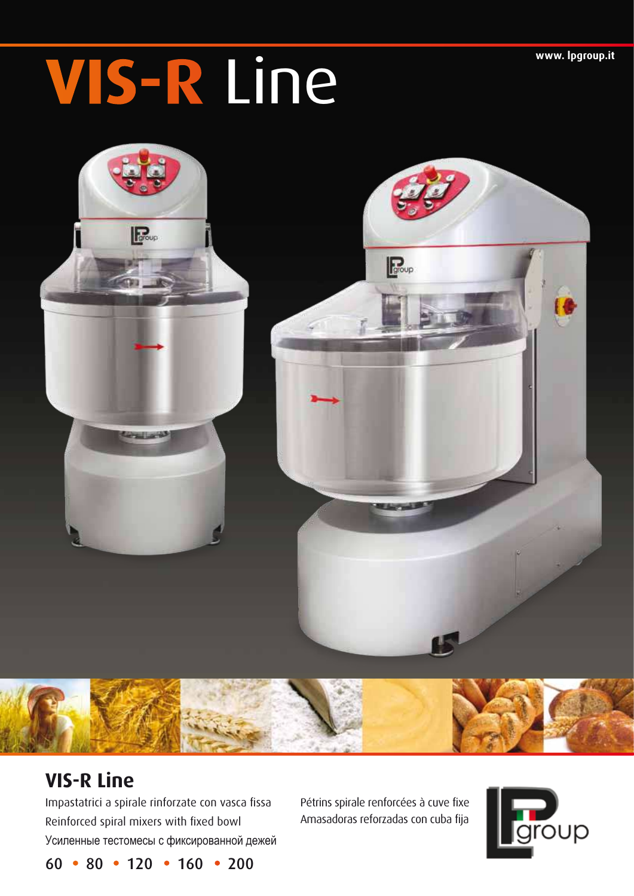## WIS-R Line **www.lpgroup.it**





Impastatrici a spirale rinforzate con vasca fissa Pétrins spirale renforcées à cuve fixe Reinforced spiral mixers with fixed bowl Amasadoras reforzadas con cuba fija Усиленные тестомесы с фиксированной дежей



 $60 \cdot 80 \cdot 120 \cdot 160 \cdot 200$